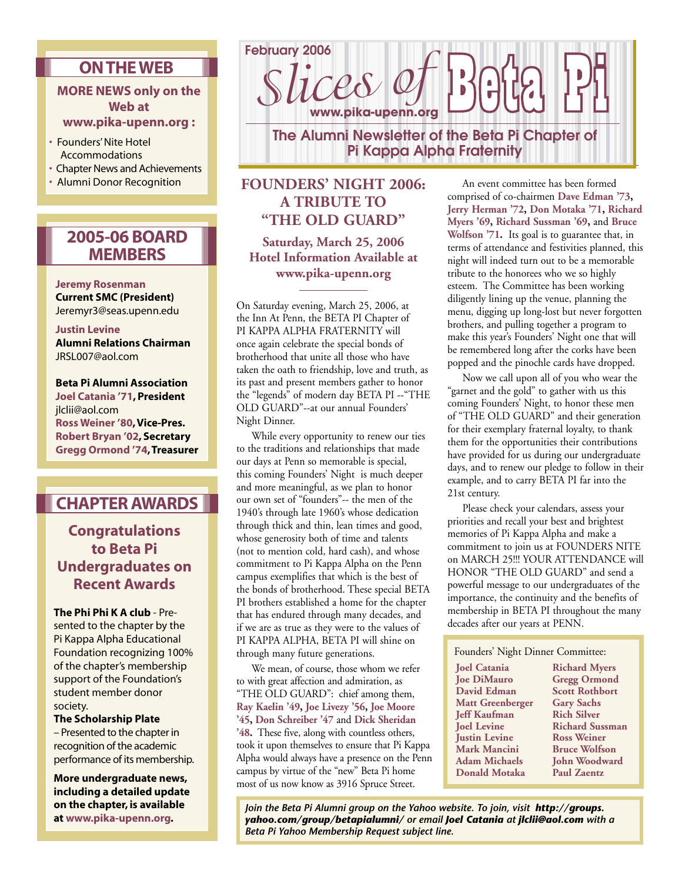## **ON THE WEB**

### **MORE NEWS only on the Web at**

### **www.pika-upenn.org :**

- Founders' Nite Hotel Accommodations
- Chapter News and Achievements
- Alumni Donor Recognition

# **2005-06 BOARD MEMBERS**

#### **Jeremy Rosenman Current SMC (President)** Jeremyr3@seas.upenn.edu

#### **Justin Levine**

**Alumni Relations Chairman** JRSL007@aol.com

**Beta Pi Alumni Association Joel Catania '71, President** jlclii@aol.com **Ross Weiner '80, Vice-Pres. Robert Bryan '02, Secretary Gregg Ormond '74, Treasurer**

# **CHAPTER AWARDS**

**Congratulations to Beta Pi Undergraduates on Recent Awards**

**The Phi Phi K A club** - Presented to the chapter by the Pi Kappa Alpha Educational Foundation recognizing 100% of the chapter's membership support of the Foundation's student member donor society.

**The Scholarship Plate** – Presented to the chapter in recognition of the academic performance of its membership.

**More undergraduate news, including a detailed update on the chapter, is available at www.pika-upenn.org.**



## **FOUNDERS' NIGHT 2006: A TRIBUTE TO "THE OLD GUARD"**

**Saturday, March 25, 2006 Hotel Information Available at www.pika-upenn.org**

On Saturday evening, March 25, 2006, at the Inn At Penn, the BETA PI Chapter of PI KAPPA ALPHA FRATERNITY will once again celebrate the special bonds of brotherhood that unite all those who have taken the oath to friendship, love and truth, as its past and present members gather to honor the "legends" of modern day BETA PI --"THE OLD GUARD"--at our annual Founders' Night Dinner.

 While every opportunity to renew our ties to the traditions and relationships that made our days at Penn so memorable is special, this coming Founders' Night is much deeper and more meaningful, as we plan to honor our own set of "founders"-- the men of the 1940's through late 1960's whose dedication through thick and thin, lean times and good, whose generosity both of time and talents (not to mention cold, hard cash), and whose commitment to Pi Kappa Alpha on the Penn campus exemplifies that which is the best of the bonds of brotherhood. These special BETA PI brothers established a home for the chapter that has endured through many decades, and if we are as true as they were to the values of PI KAPPA ALPHA, BETA PI will shine on through many future generations.

 We mean, of course, those whom we refer to with great affection and admiration, as "THE OLD GUARD": chief among them, **Ray Kaelin '49, Joe Livezy '56, Joe Moore '45, Don Schreiber '47** and **Dick Sheridan '48.** These five, along with countless others, took it upon themselves to ensure that Pi Kappa Alpha would always have a presence on the Penn campus by virtue of the "new" Beta Pi home most of us now know as 3916 Spruce Street.

 An event committee has been formed comprised of co-chairmen **Dave Edman '73, Jerry Herman '72, Don Motaka '71, Richard Myers '69, Richard Sussman '69,** and **Bruce Wolfson '71.** Its goal is to guarantee that, in terms of attendance and festivities planned, this night will indeed turn out to be a memorable tribute to the honorees who we so highly esteem. The Committee has been working diligently lining up the venue, planning the menu, digging up long-lost but never forgotten brothers, and pulling together a program to make this year's Founders' Night one that will be remembered long after the corks have been popped and the pinochle cards have dropped.

 Now we call upon all of you who wear the "garnet and the gold" to gather with us this coming Founders' Night, to honor these men of "THE OLD GUARD" and their generation for their exemplary fraternal loyalty, to thank them for the opportunities their contributions have provided for us during our undergraduate days, and to renew our pledge to follow in their example, and to carry BETA PI far into the 21st century.

 Please check your calendars, assess your priorities and recall your best and brightest memories of Pi Kappa Alpha and make a commitment to join us at FOUNDERS NITE on MARCH 25!!! YOUR ATTENDANCE will HONOR "THE OLD GUARD" and send a powerful message to our undergraduates of the importance, the continuity and the benefits of membership in BETA PI throughout the many decades after our years at PENN.

Founders' Night Dinner Committee:

**Joel Catania Joe DiMauro David Edman Matt Greenberger Jeff Kaufman Joel Levine Justin Levine Mark Mancini Adam Michaels Donald Motaka** 

**Richard Myers Gregg Ormond Scott Rothbort Gary Sachs Rich Silver Richard Sussman Ross Weiner Bruce Wolfson John Woodward Paul Zaentz**

*Join the Beta Pi Alumni group on the Yahoo website. To join, visit http://groups. yahoo.com/group/betapialumni/ or email Joel Catania at jlclii@aol.com with a Beta Pi Yahoo Membership Request subject line.*